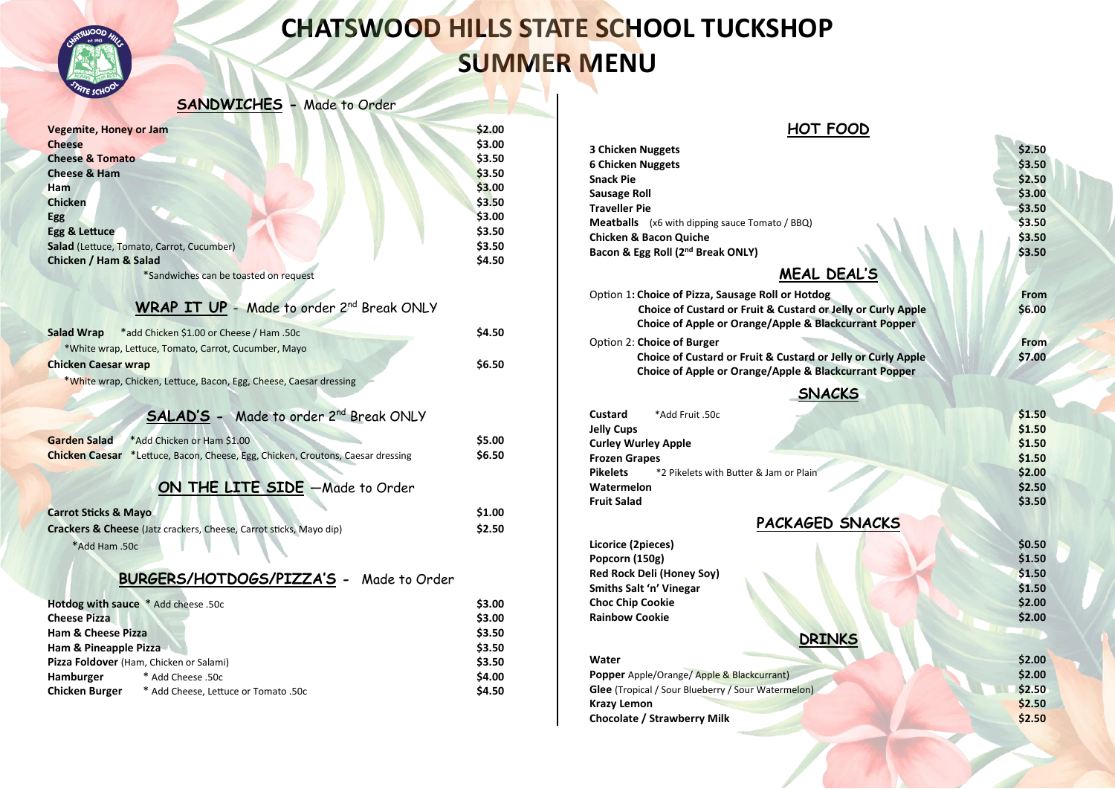

# **CHATSWOOD HILLS STATE SCHOOL TUCKSHOP SUMMER MENU**

#### **SANDWICHES -** Made to Order

| <b>Vegemite, Honey or Jam</b>                                                   | \$2.00           |
|---------------------------------------------------------------------------------|------------------|
| <b>Cheese</b>                                                                   | \$3.00           |
| <b>Cheese &amp; Tomato</b>                                                      | \$3.50           |
| <b>Cheese &amp; Ham</b>                                                         | \$3.50           |
| Ham                                                                             | \$3.00           |
| <b>Chicken</b>                                                                  | \$3.50           |
| <b>Egg</b>                                                                      | \$3.00           |
| Egg & Lettuce                                                                   | \$3.50           |
| Salad (Lettuce, Tomato, Carrot, Cucumber)                                       | \$3.50           |
| Chicken / Ham & Salad                                                           | \$4.50           |
| *Sandwiches can be toasted on request                                           |                  |
|                                                                                 |                  |
| <b>WRAP IT UP - Made to order 2nd Break ONLY</b>                                |                  |
| *add Chicken \$1.00 or Cheese / Ham .50c<br>Salad Wrap                          | \$4.50           |
| *White wrap, Lettuce, Tomato, Carrot, Cucumber, Mayo                            |                  |
| <b>Chicken Caesar wrap</b>                                                      | \$6.50           |
| *White wrap, Chicken, Lettuce, Bacon, Egg, Cheese, Caesar dressing              |                  |
|                                                                                 |                  |
|                                                                                 |                  |
| <b>SALAD'S - Made to order 2nd Break ONLY</b>                                   |                  |
| <b>Garden Salad</b><br>*Add Chicken or Ham \$1.00                               | \$5.00           |
| Chicken Caesar *Lettuce, Bacon, Cheese, Egg, Chicken, Croutons, Caesar dressing | \$6.50           |
|                                                                                 |                  |
| <b>ON THE LITE SIDE</b> - Made to Order                                         |                  |
| <b>Carrot Sticks &amp; Mayo</b>                                                 | \$1.00           |
| Crackers & Cheese (Jatz crackers, Cheese, Carrot sticks, Mayo dip)              | \$2.50           |
|                                                                                 |                  |
| *Add Ham .50c                                                                   |                  |
| BURGERS/HOTDOGS/PIZZA'S - Made to Order                                         |                  |
| Hotdog with sauce * Add cheese .50c                                             |                  |
|                                                                                 |                  |
| <b>Cheese Pizza</b>                                                             | \$3.00           |
|                                                                                 | \$3.00           |
| <b>Ham &amp; Cheese Pizza</b>                                                   | \$3.50           |
| Ham & Pineapple Pizza                                                           | \$3.50           |
| Pizza Foldover (Ham, Chicken or Salami)<br>* Add Cheese .50c<br>Hamburger       | \$3.50<br>\$4.00 |

| HOT FOOD                                                                                                              |        |
|-----------------------------------------------------------------------------------------------------------------------|--------|
| <b>3 Chicken Nuggets</b>                                                                                              | \$2.50 |
| 6 Chicken Nuggets                                                                                                     | \$3.50 |
| Snack Pie                                                                                                             | \$2.50 |
| Sausage Roll                                                                                                          | \$3.00 |
| <b>Traveller Pie</b>                                                                                                  | \$3.50 |
|                                                                                                                       | \$3.50 |
| <b>Meatballs</b> (x6 with dipping sauce Tomato / BBQ)<br><b>Chicken &amp; Bacon Quiche</b>                            | \$3.50 |
| Bacon & Egg Roll (2 <sup>nd</sup> Break ONLY)                                                                         | \$3.50 |
| MEAL DEAL'S                                                                                                           |        |
|                                                                                                                       |        |
| Option 1: Choice of Pizza, Sausage Roll or Hotdog                                                                     | From   |
| Choice of Custard or Fruit & Custard or Jelly or Curly Apple<br>Choice of Apple or Orange/Apple & Blackcurrant Popper | \$6.00 |
| Option 2: Choice of Burger                                                                                            | From   |
| Choice of Custard or Fruit & Custard or Jelly or Curly Apple                                                          | \$7.00 |
| Choice of Apple or Orange/Apple & Blackcurrant Popper                                                                 |        |
| <b>SNACKS</b>                                                                                                         |        |
| Custard<br>*Add Fruit .50c                                                                                            | \$1.50 |
| Jelly Cups                                                                                                            | \$1.50 |
| <b>Curley Wurley Apple</b>                                                                                            | \$1.50 |
| <b>Frozen Grapes</b>                                                                                                  | \$1.50 |
| <b>Pikelets</b><br>*2 Pikelets with Butter & Jam or Plain                                                             | \$2.00 |
| Watermelon                                                                                                            | \$2.50 |
| <b>Fruit Salad</b>                                                                                                    | \$3.50 |
| PACKAGED SNACKS                                                                                                       |        |
| Licorice (2pieces)                                                                                                    | \$0.50 |
| Popcorn (150g)                                                                                                        | \$1.50 |
| Red Rock Deli (Honey Soy)                                                                                             | \$1.50 |
| Smiths Salt 'n' Vinegar                                                                                               | \$1.50 |
| <b>Choc Chip Cookie</b>                                                                                               | \$2.00 |
| <b>Rainbow Cookie</b>                                                                                                 | \$2.00 |
| DRINKS                                                                                                                |        |
| Water                                                                                                                 | \$2.00 |
| <b>Popper</b> Apple/Orange/ Apple & Blackcurrant)                                                                     | \$2.00 |
| <b>Glee</b> (Tropical / Sour Blueberry / Sour Watermelon)                                                             | \$2.50 |
| Krazy Lemon                                                                                                           | \$2.50 |
| <b>Chocolate / Strawberry Milk</b>                                                                                    | \$2.50 |
|                                                                                                                       |        |
|                                                                                                                       |        |